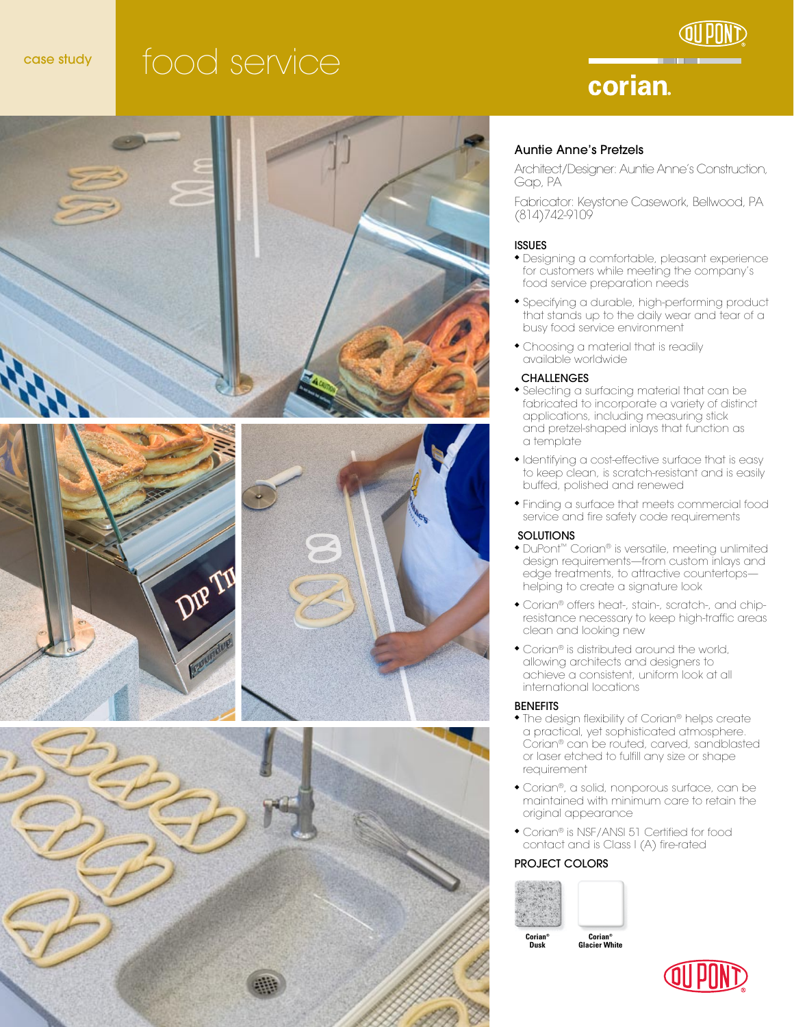# case study food service



# corian.







### Auntie Anne's Pretzels

Architect/Designer: Auntie Anne's Construction, Gap, PA

Fabricator: Keystone Casework, Bellwood, PA (814)742-9109

#### ISSUES

- Designing a comfortable, pleasant experience for customers while meeting the company's food service preparation needs
- Specifying a durable, high-performing product that stands up to the daily wear and tear of a busy food service environment
- Choosing a material that is readily available worldwide

### **CHALLENGES**

- Selecting a surfacing material that can be fabricated to incorporate a variety of distinct applications, including measuring stick and pretzel-shaped inlays that function as a template
- Identifying a cost-effective surface that is easy to keep clean, is scratch-resistant and is easily buffed, polished and renewed
- <sup>u</sup> Finding a surface that meets commercial food service and fire safety code requirements

#### SOLUTIONS

- ◆ DuPont™ Corian® is versatile, meeting unlimited design requirements—from custom inlays and edge treatments, to attractive countertops helping to create a signature look
- Corian® offers heat-, stain-, scratch-, and chipresistance necessary to keep high-traffic areas clean and looking new
- Corian® is distributed around the world, allowing architects and designers to achieve a consistent, uniform look at all international locations

#### **BENEFITS**

- The design flexibility of Corian® helps create a practical, yet sophisticated atmosphere. Corian® can be routed, carved, sandblasted or laser etched to fulfill any size or shape requirement
- Corian®, a solid, nonporous surface, can be maintained with minimum care to retain the original appearance
- Corian® is NSF/ANSI 51 Certified for food contact and is Class I (A) fire-rated

### PROJECT COLORS



**Corian® Dusk** 

**Corian® Glacier White**